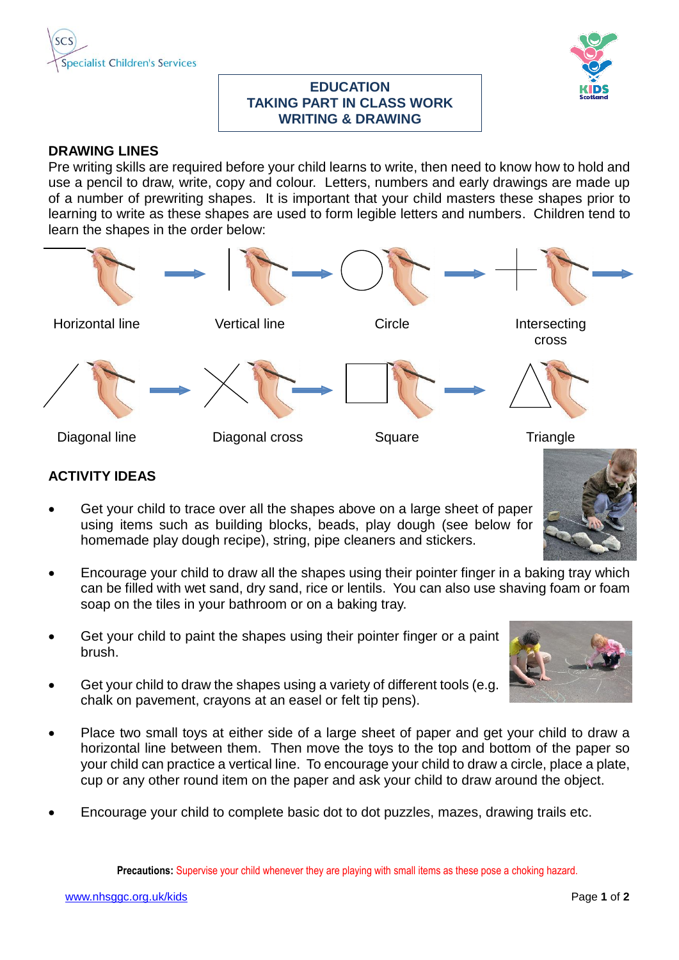



## **EDUCATION TAKING PART IN CLASS WORK WRITING & DRAWING**

## **DRAWING LINES**

Pre writing skills are required before your child learns to write, then need to know how to hold and use a pencil to draw, write, copy and colour. Letters, numbers and early drawings are made up of a number of prewriting shapes. It is important that your child masters these shapes prior to learning to write as these shapes are used to form legible letters and numbers. Children tend to learn the shapes in the order below:



## **ACTIVITY IDEAS**

- Get your child to trace over all the shapes above on a large sheet of paper using items such as building blocks, beads, play dough (see below for homemade play dough recipe), string, pipe cleaners and stickers.
- Encourage your child to draw all the shapes using their pointer finger in a baking tray which can be filled with wet sand, dry sand, rice or lentils. You can also use shaving foam or foam soap on the tiles in your bathroom or on a baking tray.
- Get your child to paint the shapes using their pointer finger or a paint brush.
- Get your child to draw the shapes using a variety of different tools (e.g. chalk on pavement, crayons at an easel or felt tip pens).
- Place two small toys at either side of a large sheet of paper and get your child to draw a horizontal line between them. Then move the toys to the top and bottom of the paper so your child can practice a vertical line. To encourage your child to draw a circle, place a plate, cup or any other round item on the paper and ask your child to draw around the object.
- Encourage your child to complete basic dot to dot puzzles, mazes, drawing trails etc.

**Precautions:** Supervise your child whenever they are playing with small items as these pose a choking hazard.